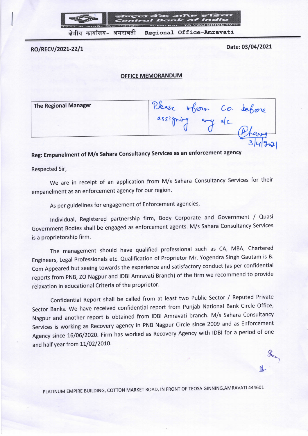

RO/RECV/2021-22/1 Date: 03/04/2021

 $\rightarrow$ 

 $\mathbb{R}$ 

## OFFICE MEMORANDUM

The Regional Manager PJease Inform Co. Jehone  $\arctan\frac{1}{2}$  $3|4|$   $30$ 

## Reg: Empanelment of M/s Sahara Consultancy Services as an enforcement agency

Respected Sir,

We are in receipt of an application from M/s Sahara Consultancy Services for their empanelment as an enforcement agency for our region.

As per guidelines for engagement of Enforcement agencies,

Individual, Registered partnership firm, Body Corporate and Government / Quasi Government Bodies shall be engaged as enforcement agents. M/s Sahara Consultancy Services is a proprietorship firm.

The management should have qualified professional such as CA, MBA, Chartered Engineers, Legal Professionals etc. Qualification of Proprietor Mr. Yogendra Singh Gautam is a. Com Appeared but seeing towards the experience and satisfactory conduct (as per confidential reports from PNB, ZO Nagpur and lDBI Amravati Branch) of the firm we recommend to provide relaxation in educational Criteria of the proprietor.

Confidential Report shall be called from at least two Public Sector / Reputed Private Sector Banks. We have received confidential report from Punjab National Bank Circle Office, Nagpur and another report is obtained from lDBI Amravati branch. M/s Sahara Consultancy Services is working as Recovery agency in PNB Nagpur Circle since 2009 and as Enforcement Agency since 16/06/2020. Firm has worked as Recovery Agency with lDBl for a period of one and half year from 11/02/2010.

PLATINUM EMPIRE BUILDING, COTTON MARKET ROAD, lN FRONT OF TEOSA GINNING,AMRAVATl 444601